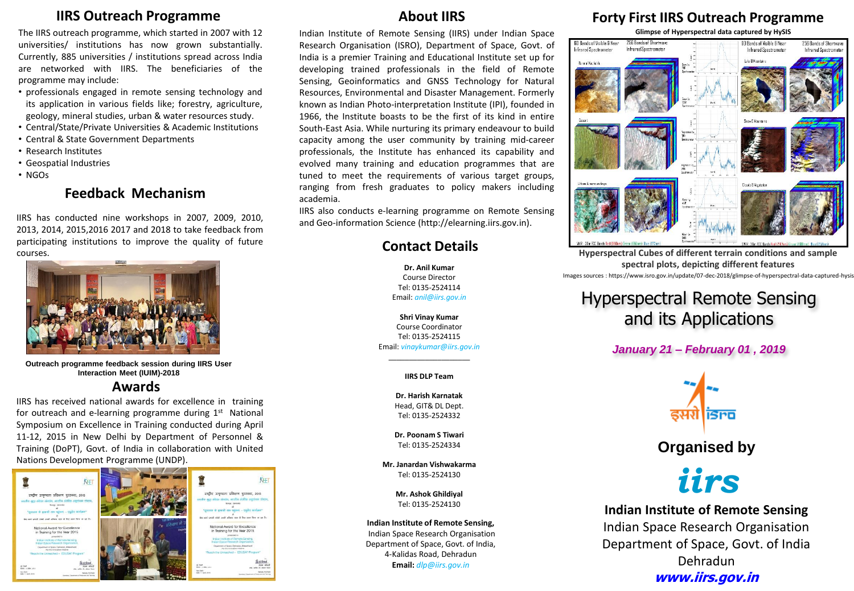#### **IIRS Outreach Programme**

The IIRS outreach programme, which started in 2007 with 12 universities/ institutions has now grown substantially. Currently, 885 universities / institutions spread across India are networked with IIRS. The beneficiaries of the programme may include:

- professionals engaged in remote sensing technology and its application in various fields like; forestry, agriculture, geology, mineral studies, urban & water resources study.
- Central/State/Private Universities & Academic Institutions
- Central & State Government Departments
- Research Institutes
- Geospatial Industries
- NGOs

#### **Feedback Mechanism**

IIRS has conducted nine workshops in 2007, 2009, 2010, 2013, 2014, 2015,2016 2017 and 2018 to take feedback from participating institutions to improve the quality of future courses.



**Outreach programme feedback session during IIRS User Interaction Meet (IUIM)-2018**

#### **Awards**

IIRS has received national awards for excellence in training for outreach and e-learning programme during 1<sup>st</sup> National Symposium on Excellence in Training conducted during April 11-12, 2015 in New Delhi by Department of Personnel & Training (DoPT), Govt. of India in collaboration with United Nations Development Programme (UNDP).



## **About IIRS**

Indian Institute of Remote Sensing (IIRS) under Indian Space Research Organisation (ISRO), Department of Space, Govt. of India is a premier Training and Educational Institute set up for developing trained professionals in the field of Remote Sensing, Geoinformatics and GNSS Technology for Natural Resources, Environmental and Disaster Management. Formerly known as Indian Photo-interpretation Institute (IPI), founded in 1966, the Institute boasts to be the first of its kind in entire South-East Asia. While nurturing its primary endeavour to build capacity among the user community by training mid-career professionals, the Institute has enhanced its capability and evolved many training and education programmes that are tuned to meet the requirements of various target groups, ranging from fresh graduates to policy makers including academia.

IIRS also conducts e-learning programme on Remote Sensing and Geo-information Science (http://elearning.iirs.gov.in).

#### **Contact Details**

**Dr. Anil Kumar** Course Director Tel: 0135-2524114 Email: *anil@iirs.gov.in*

**Shri Vinay Kumar** Course Coordinator Tel: 0135-2524115 Email: *vinaykumar@iirs.gov.in*

> \_\_\_\_\_\_\_\_\_\_\_\_\_\_\_\_\_\_\_\_ **IIRS DLP Team**

**Dr. Harish Karnatak** Head, GIT& DL Dept. Tel: 0135-2524332

**Dr. Poonam S Tiwari** Tel: 0135-2524334

**Mr. Janardan Vishwakarma** Tel: 0135-2524130

> **Mr. Ashok Ghildiyal** Tel: 0135-2524130

**Indian Institute of Remote Sensing,** Indian Space Research Organisation Department of Space, Govt. of India, 4-Kalidas Road, Dehradun **Email:** *dlp@iirs.gov.in* 

## **Forty First IIRS Outreach Programme**



Images sources : https://www.isro.gov.in/update/07-dec-2018/glimpse-of-hyperspectral-data-captured-hysis **Hyperspectral Cubes of different terrain conditions and sample spectral plots, depicting different features**

# Hyperspectral Remote Sensing and its Applications

#### *January 21 – February 01 , 2019*



**Organised by**



**Indian Institute of Remote Sensing** Indian Space Research Organisation Department of Space, Govt. of India Dehradun **www.iirs.gov.in**